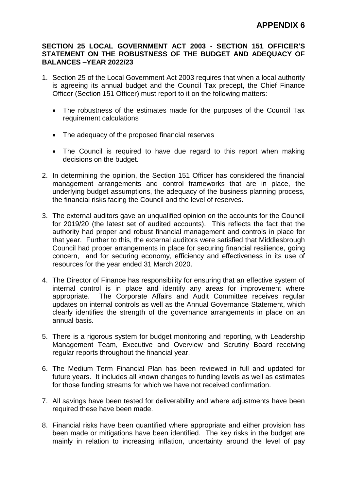## **SECTION 25 LOCAL GOVERNMENT ACT 2003 - SECTION 151 OFFICER'S STATEMENT ON THE ROBUSTNESS OF THE BUDGET AND ADEQUACY OF BALANCES –YEAR 2022/23**

- 1. Section 25 of the Local Government Act 2003 requires that when a local authority is agreeing its annual budget and the Council Tax precept, the Chief Finance Officer (Section 151 Officer) must report to it on the following matters:
	- The robustness of the estimates made for the purposes of the Council Tax requirement calculations
	- The adequacy of the proposed financial reserves
	- The Council is required to have due regard to this report when making decisions on the budget.
- 2. In determining the opinion, the Section 151 Officer has considered the financial management arrangements and control frameworks that are in place, the underlying budget assumptions, the adequacy of the business planning process, the financial risks facing the Council and the level of reserves.
- 3. The external auditors gave an unqualified opinion on the accounts for the Council for 2019/20 (the latest set of audited accounts). This reflects the fact that the authority had proper and robust financial management and controls in place for that year. Further to this, the external auditors were satisfied that Middlesbrough Council had proper arrangements in place for securing financial resilience, going concern, and for securing economy, efficiency and effectiveness in its use of resources for the year ended 31 March 2020.
- 4. The Director of Finance has responsibility for ensuring that an effective system of internal control is in place and identify any areas for improvement where appropriate. The Corporate Affairs and Audit Committee receives regular updates on internal controls as well as the Annual Governance Statement, which clearly identifies the strength of the governance arrangements in place on an annual basis.
- 5. There is a rigorous system for budget monitoring and reporting, with Leadership Management Team, Executive and Overview and Scrutiny Board receiving regular reports throughout the financial year.
- 6. The Medium Term Financial Plan has been reviewed in full and updated for future years. It includes all known changes to funding levels as well as estimates for those funding streams for which we have not received confirmation.
- 7. All savings have been tested for deliverability and where adjustments have been required these have been made.
- 8. Financial risks have been quantified where appropriate and either provision has been made or mitigations have been identified. The key risks in the budget are mainly in relation to increasing inflation, uncertainty around the level of pay